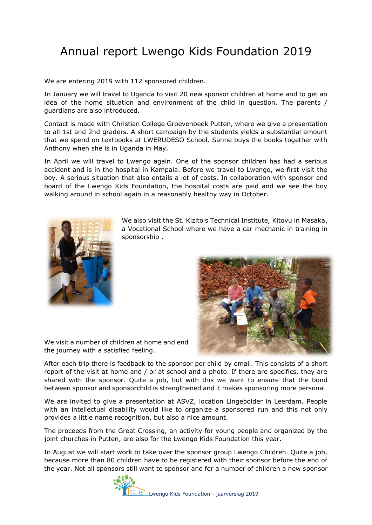## Annual report Lwengo Kids Foundation 2019

We are entering 2019 with 112 sponsored children.

In January we will travel to Uganda to visit 20 new sponsor children at home and to get an idea of the home situation and environment of the child in question. The parents / guardians are also introduced.

Contact is made with Christian College Groevenbeek Putten, where we give a presentation to all 1st and 2nd graders. A short campaign by the students yields a substantial amount that we spend on textbooks at LWERUDESO School. Sanne buys the books together with Anthony when she is in Uganda in May.

In April we will travel to Lwengo again. One of the sponsor children has had a serious accident and is in the hospital in Kampala. Before we travel to Lwengo, we first visit the boy. A serious situation that also entails a lot of costs. In collaboration with sponsor and board of the Lwengo Kids Foundation, the hospital costs are paid and we see the boy walking around in school again in a reasonably healthy way in October.



We also visit the St. Kizito's Technical Institute, Kitovu in Masaka, a Vocational School where we have a car mechanic in training in sponsorship .



We visit a number of children at home and end the journey with a satisfied feeling.

After each trip there is feedback to the sponsor per child by email. This consists of a short report of the visit at home and / or at school and a photo. If there are specifics, they are shared with the sponsor. Quite a job, but with this we want to ensure that the bond between sponsor and sponsorchild is strengthened and it makes sponsoring more personal.

We are invited to give a presentation at ASVZ, location Lingebolder in Leerdam. People with an intellectual disability would like to organize a sponsored run and this not only provides a little name recognition, but also a nice amount.

The proceeds from the Great Crossing, an activity for young people and organized by the joint churches in Putten, are also for the Lwengo Kids Foundation this year.

In August we will start work to take over the sponsor group Lwengo Children. Quite a job, because more than 80 children have to be registered with their sponsor before the end of the year. Not all sponsors still want to sponsor and for a number of children a new sponsor

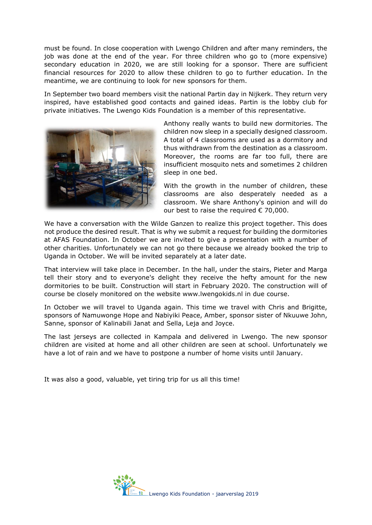must be found. In close cooperation with Lwengo Children and after many reminders, the job was done at the end of the year. For three children who go to (more expensive) secondary education in 2020, we are still looking for a sponsor. There are sufficient financial resources for 2020 to allow these children to go to further education. In the meantime, we are continuing to look for new sponsors for them.

In September two board members visit the national Partin day in Nijkerk. They return very inspired, have established good contacts and gained ideas. Partin is the lobby club for private initiatives. The Lwengo Kids Foundation is a member of this representative.



Anthony really wants to build new dormitories. The children now sleep in a specially designed classroom. A total of 4 classrooms are used as a dormitory and thus withdrawn from the destination as a classroom. Moreover, the rooms are far too full, there are insufficient mosquito nets and sometimes 2 children sleep in one bed.

With the growth in the number of children, these classrooms are also desperately needed as a classroom. We share Anthony's opinion and will do our best to raise the required  $\epsilon$  70,000.

We have a conversation with the Wilde Ganzen to realize this project together. This does not produce the desired result. That is why we submit a request for building the dormitories at AFAS Foundation. In October we are invited to give a presentation with a number of other charities. Unfortunately we can not go there because we already booked the trip to Uganda in October. We will be invited separately at a later date.

That interview will take place in December. In the hall, under the stairs, Pieter and Marga tell their story and to everyone's delight they receive the hefty amount for the new dormitories to be built. Construction will start in February 2020. The construction will of course be closely monitored on the website www.lwengokids.nl in due course.

In October we will travel to Uganda again. This time we travel with Chris and Brigitte, sponsors of Namuwonge Hope and Nabiyiki Peace, Amber, sponsor sister of Nkuuwe John, Sanne, sponsor of Kalinabili Janat and Sella, Leja and Joyce.

The last jerseys are collected in Kampala and delivered in Lwengo. The new sponsor children are visited at home and all other children are seen at school. Unfortunately we have a lot of rain and we have to postpone a number of home visits until January.

It was also a good, valuable, yet tiring trip for us all this time!